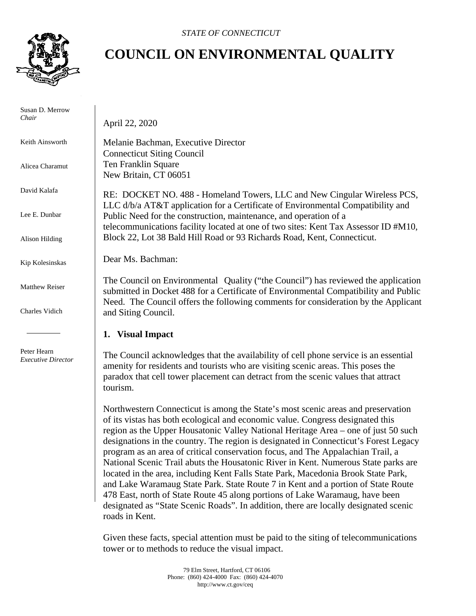

 Susan D. Merrow *Chair*

Keith Ainsworth

Alicea Charamut

David Kalafa

Lee E. Dunbar

Alison Hilding

Kip Kolesinskas

Matthew Reiser

Charles Vidich

 Peter Hearn *Executive Director*

## **COUNCIL ON ENVIRONMENTAL QUALITY**

April 22, 2020

Melanie Bachman, Executive Director Connecticut Siting Council Ten Franklin Square New Britain, CT 06051

RE: DOCKET NO. 488 - Homeland Towers, LLC and New Cingular Wireless PCS, LLC d/b/a AT&T application for a Certificate of Environmental Compatibility and Public Need for the construction, maintenance, and operation of a telecommunications facility located at one of two sites: Kent Tax Assessor ID #M10, Block 22, Lot 38 Bald Hill Road or 93 Richards Road, Kent, Connecticut.

Dear Ms. Bachman:

The Council on Environmental Quality ("the Council") has reviewed the application submitted in Docket 488 for a Certificate of Environmental Compatibility and Public Need. The Council offers the following comments for consideration by the Applicant and Siting Council.

## **1. Visual Impact**

The Council acknowledges that the availability of cell phone service is an essential amenity for residents and tourists who are visiting scenic areas. This poses the paradox that cell tower placement can detract from the scenic values that attract tourism.

Northwestern Connecticut is among the State's most scenic areas and preservation of its vistas has both ecological and economic value. Congress designated this region as the Upper Housatonic Valley National Heritage Area – one of just 50 such designations in the country. The region is designated in Connecticut's Forest Legacy program as an area of critical conservation focus, and The Appalachian Trail, a National Scenic Trail abuts the Housatonic River in Kent. Numerous State parks are located in the area, including Kent Falls State Park, Macedonia Brook State Park, and Lake Waramaug State Park. State Route 7 in Kent and a portion of State Route 478 East, north of State Route 45 along portions of Lake Waramaug, have been designated as "State Scenic Roads". In addition, there are locally designated scenic roads in Kent.

Given these facts, special attention must be paid to the siting of telecommunications tower or to methods to reduce the visual impact.